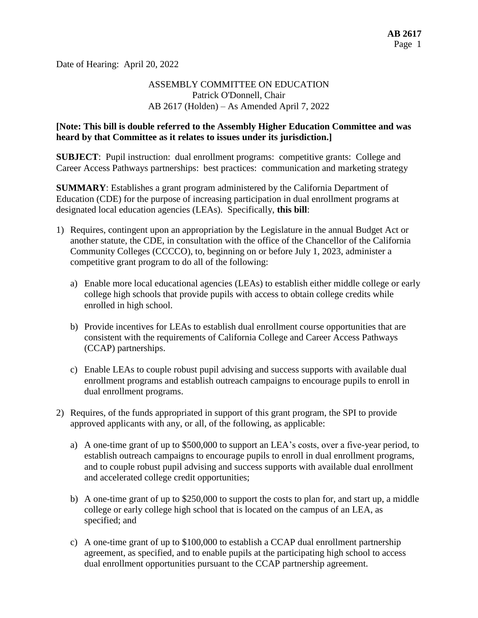Date of Hearing: April 20, 2022

# ASSEMBLY COMMITTEE ON EDUCATION Patrick O'Donnell, Chair AB 2617 (Holden) – As Amended April 7, 2022

#### **[Note: This bill is double referred to the Assembly Higher Education Committee and was heard by that Committee as it relates to issues under its jurisdiction.]**

**SUBJECT:** Pupil instruction: dual enrollment programs: competitive grants: College and Career Access Pathways partnerships: best practices: communication and marketing strategy

**SUMMARY**: Establishes a grant program administered by the California Department of Education (CDE) for the purpose of increasing participation in dual enrollment programs at designated local education agencies (LEAs). Specifically, **this bill**:

- 1) Requires, contingent upon an appropriation by the Legislature in the annual Budget Act or another statute, the CDE, in consultation with the office of the Chancellor of the California Community Colleges (CCCCO), to, beginning on or before July 1, 2023, administer a competitive grant program to do all of the following:
	- a) Enable more local educational agencies (LEAs) to establish either middle college or early college high schools that provide pupils with access to obtain college credits while enrolled in high school.
	- b) Provide incentives for LEAs to establish dual enrollment course opportunities that are consistent with the requirements of California College and Career Access Pathways (CCAP) partnerships.
	- c) Enable LEAs to couple robust pupil advising and success supports with available dual enrollment programs and establish outreach campaigns to encourage pupils to enroll in dual enrollment programs.
- 2) Requires, of the funds appropriated in support of this grant program, the SPI to provide approved applicants with any, or all, of the following, as applicable:
	- a) A one-time grant of up to \$500,000 to support an LEA's costs, over a five-year period, to establish outreach campaigns to encourage pupils to enroll in dual enrollment programs, and to couple robust pupil advising and success supports with available dual enrollment and accelerated college credit opportunities;
	- b) A one-time grant of up to \$250,000 to support the costs to plan for, and start up, a middle college or early college high school that is located on the campus of an LEA, as specified; and
	- c) A one-time grant of up to \$100,000 to establish a CCAP dual enrollment partnership agreement, as specified, and to enable pupils at the participating high school to access dual enrollment opportunities pursuant to the CCAP partnership agreement.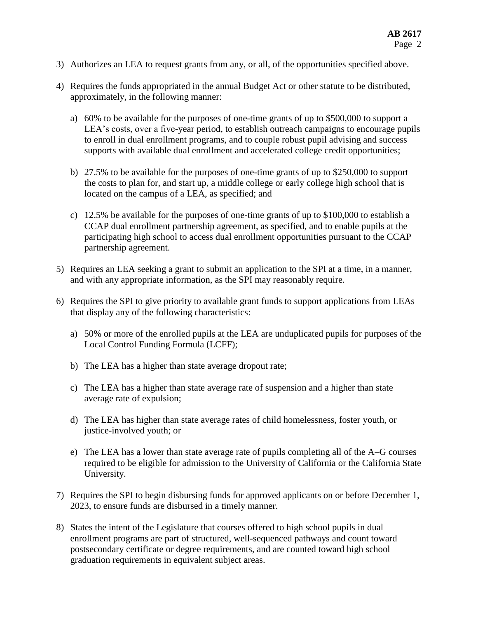- 3) Authorizes an LEA to request grants from any, or all, of the opportunities specified above.
- 4) Requires the funds appropriated in the annual Budget Act or other statute to be distributed, approximately, in the following manner:
	- a) 60% to be available for the purposes of one-time grants of up to \$500,000 to support a LEA's costs, over a five-year period, to establish outreach campaigns to encourage pupils to enroll in dual enrollment programs, and to couple robust pupil advising and success supports with available dual enrollment and accelerated college credit opportunities;
	- b) 27.5% to be available for the purposes of one-time grants of up to \$250,000 to support the costs to plan for, and start up, a middle college or early college high school that is located on the campus of a LEA, as specified; and
	- c) 12.5% be available for the purposes of one-time grants of up to \$100,000 to establish a CCAP dual enrollment partnership agreement, as specified, and to enable pupils at the participating high school to access dual enrollment opportunities pursuant to the CCAP partnership agreement.
- 5) Requires an LEA seeking a grant to submit an application to the SPI at a time, in a manner, and with any appropriate information, as the SPI may reasonably require.
- 6) Requires the SPI to give priority to available grant funds to support applications from LEAs that display any of the following characteristics:
	- a) 50% or more of the enrolled pupils at the LEA are unduplicated pupils for purposes of the Local Control Funding Formula (LCFF);
	- b) The LEA has a higher than state average dropout rate;
	- c) The LEA has a higher than state average rate of suspension and a higher than state average rate of expulsion;
	- d) The LEA has higher than state average rates of child homelessness, foster youth, or justice-involved youth; or
	- e) The LEA has a lower than state average rate of pupils completing all of the A–G courses required to be eligible for admission to the University of California or the California State University.
- 7) Requires the SPI to begin disbursing funds for approved applicants on or before December 1, 2023, to ensure funds are disbursed in a timely manner.
- 8) States the intent of the Legislature that courses offered to high school pupils in dual enrollment programs are part of structured, well-sequenced pathways and count toward postsecondary certificate or degree requirements, and are counted toward high school graduation requirements in equivalent subject areas.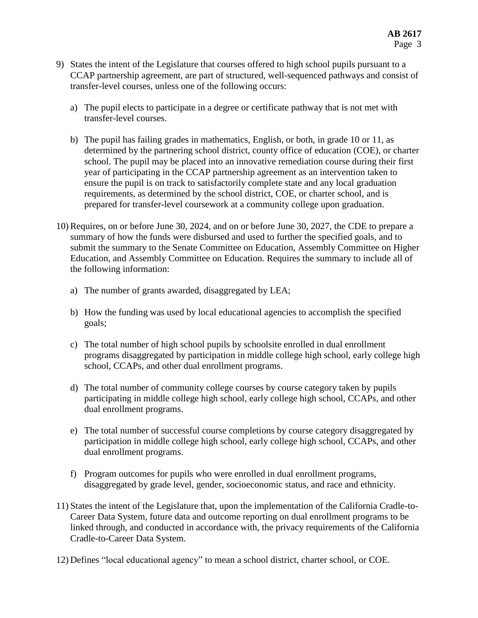- 9) States the intent of the Legislature that courses offered to high school pupils pursuant to a CCAP partnership agreement, are part of structured, well-sequenced pathways and consist of transfer-level courses, unless one of the following occurs:
	- a) The pupil elects to participate in a degree or certificate pathway that is not met with transfer-level courses.
	- b) The pupil has failing grades in mathematics, English, or both, in grade 10 or 11, as determined by the partnering school district, county office of education (COE), or charter school. The pupil may be placed into an innovative remediation course during their first year of participating in the CCAP partnership agreement as an intervention taken to ensure the pupil is on track to satisfactorily complete state and any local graduation requirements, as determined by the school district, COE, or charter school, and is prepared for transfer-level coursework at a community college upon graduation.
- 10) Requires, on or before June 30, 2024, and on or before June 30, 2027, the CDE to prepare a summary of how the funds were disbursed and used to further the specified goals, and to submit the summary to the Senate Committee on Education, Assembly Committee on Higher Education, and Assembly Committee on Education. Requires the summary to include all of the following information:
	- a) The number of grants awarded, disaggregated by LEA;
	- b) How the funding was used by local educational agencies to accomplish the specified goals;
	- c) The total number of high school pupils by schoolsite enrolled in dual enrollment programs disaggregated by participation in middle college high school, early college high school, CCAPs, and other dual enrollment programs.
	- d) The total number of community college courses by course category taken by pupils participating in middle college high school, early college high school, CCAPs, and other dual enrollment programs.
	- e) The total number of successful course completions by course category disaggregated by participation in middle college high school, early college high school, CCAPs, and other dual enrollment programs.
	- f) Program outcomes for pupils who were enrolled in dual enrollment programs, disaggregated by grade level, gender, socioeconomic status, and race and ethnicity.
- 11) States the intent of the Legislature that, upon the implementation of the California Cradle-to-Career Data System, future data and outcome reporting on dual enrollment programs to be linked through, and conducted in accordance with, the privacy requirements of the California Cradle-to-Career Data System.
- 12) Defines "local educational agency" to mean a school district, charter school, or COE.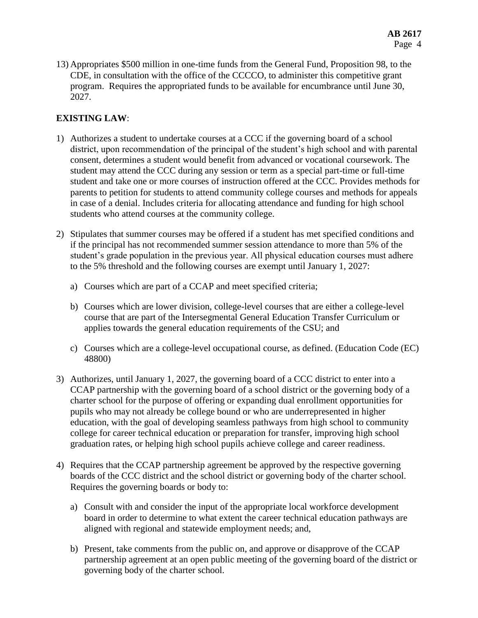13) Appropriates \$500 million in one-time funds from the General Fund, Proposition 98, to the CDE, in consultation with the office of the CCCCO, to administer this competitive grant program. Requires the appropriated funds to be available for encumbrance until June 30, 2027.

# **EXISTING LAW**:

- 1) Authorizes a student to undertake courses at a CCC if the governing board of a school district, upon recommendation of the principal of the student's high school and with parental consent, determines a student would benefit from advanced or vocational coursework. The student may attend the CCC during any session or term as a special part-time or full-time student and take one or more courses of instruction offered at the CCC. Provides methods for parents to petition for students to attend community college courses and methods for appeals in case of a denial. Includes criteria for allocating attendance and funding for high school students who attend courses at the community college.
- 2) Stipulates that summer courses may be offered if a student has met specified conditions and if the principal has not recommended summer session attendance to more than 5% of the student's grade population in the previous year. All physical education courses must adhere to the 5% threshold and the following courses are exempt until January 1, 2027:
	- a) Courses which are part of a CCAP and meet specified criteria;
	- b) Courses which are lower division, college-level courses that are either a college-level course that are part of the Intersegmental General Education Transfer Curriculum or applies towards the general education requirements of the CSU; and
	- c) Courses which are a college-level occupational course, as defined. (Education Code (EC) 48800)
- 3) Authorizes, until January 1, 2027, the governing board of a CCC district to enter into a CCAP partnership with the governing board of a school district or the governing body of a charter school for the purpose of offering or expanding dual enrollment opportunities for pupils who may not already be college bound or who are underrepresented in higher education, with the goal of developing seamless pathways from high school to community college for career technical education or preparation for transfer, improving high school graduation rates, or helping high school pupils achieve college and career readiness.
- 4) Requires that the CCAP partnership agreement be approved by the respective governing boards of the CCC district and the school district or governing body of the charter school. Requires the governing boards or body to:
	- a) Consult with and consider the input of the appropriate local workforce development board in order to determine to what extent the career technical education pathways are aligned with regional and statewide employment needs; and,
	- b) Present, take comments from the public on, and approve or disapprove of the CCAP partnership agreement at an open public meeting of the governing board of the district or governing body of the charter school.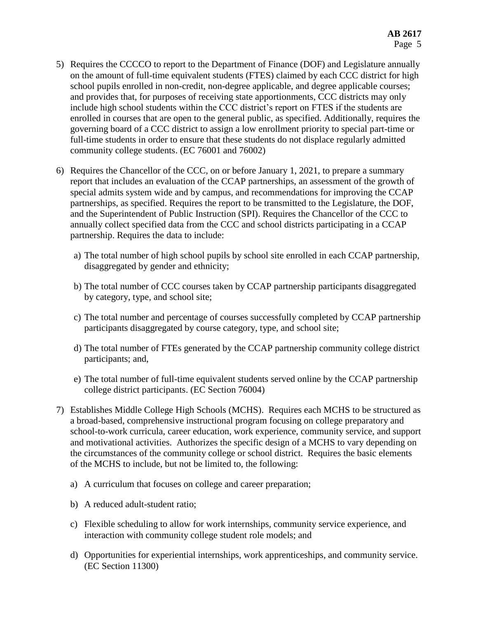- 5) Requires the CCCCO to report to the Department of Finance (DOF) and Legislature annually on the amount of full-time equivalent students (FTES) claimed by each CCC district for high school pupils enrolled in non-credit, non-degree applicable, and degree applicable courses; and provides that, for purposes of receiving state apportionments, CCC districts may only include high school students within the CCC district's report on FTES if the students are enrolled in courses that are open to the general public, as specified. Additionally, requires the governing board of a CCC district to assign a low enrollment priority to special part-time or full-time students in order to ensure that these students do not displace regularly admitted community college students. (EC 76001 and 76002)
- 6) Requires the Chancellor of the CCC, on or before January 1, 2021, to prepare a summary report that includes an evaluation of the CCAP partnerships, an assessment of the growth of special admits system wide and by campus, and recommendations for improving the CCAP partnerships, as specified. Requires the report to be transmitted to the Legislature, the DOF, and the Superintendent of Public Instruction (SPI). Requires the Chancellor of the CCC to annually collect specified data from the CCC and school districts participating in a CCAP partnership. Requires the data to include:
	- a) The total number of high school pupils by school site enrolled in each CCAP partnership, disaggregated by gender and ethnicity;
	- b) The total number of CCC courses taken by CCAP partnership participants disaggregated by category, type, and school site;
	- c) The total number and percentage of courses successfully completed by CCAP partnership participants disaggregated by course category, type, and school site;
	- d) The total number of FTEs generated by the CCAP partnership community college district participants; and,
	- e) The total number of full-time equivalent students served online by the CCAP partnership college district participants. (EC Section 76004)
- 7) Establishes Middle College High Schools (MCHS). Requires each MCHS to be structured as a broad-based, comprehensive instructional program focusing on college preparatory and school-to-work curricula, career education, work experience, community service, and support and motivational activities. Authorizes the specific design of a MCHS to vary depending on the circumstances of the community college or school district. Requires the basic elements of the MCHS to include, but not be limited to, the following:
	- a) A curriculum that focuses on college and career preparation;
	- b) A reduced adult-student ratio;
	- c) Flexible scheduling to allow for work internships, community service experience, and interaction with community college student role models; and
	- d) Opportunities for experiential internships, work apprenticeships, and community service. (EC Section 11300)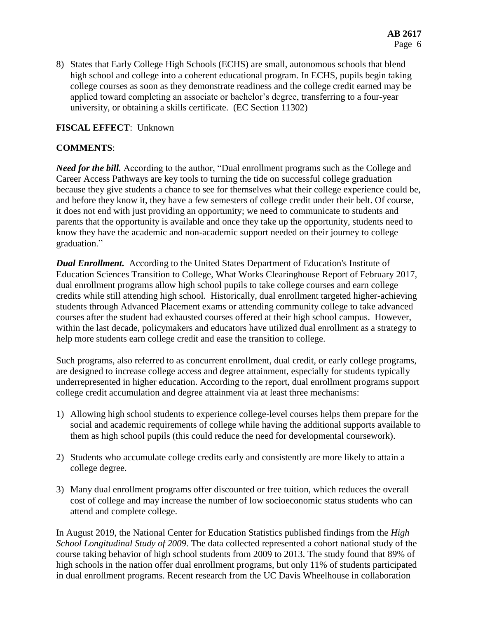8) States that Early College High Schools (ECHS) are small, autonomous schools that blend high school and college into a coherent educational program. In ECHS, pupils begin taking college courses as soon as they demonstrate readiness and the college credit earned may be applied toward completing an associate or bachelor's degree, transferring to a four-year university, or obtaining a skills certificate. (EC Section 11302)

#### **FISCAL EFFECT**: Unknown

## **COMMENTS**:

*Need for the bill.* According to the author, "Dual enrollment programs such as the College and Career Access Pathways are key tools to turning the tide on successful college graduation because they give students a chance to see for themselves what their college experience could be, and before they know it, they have a few semesters of college credit under their belt. Of course, it does not end with just providing an opportunity; we need to communicate to students and parents that the opportunity is available and once they take up the opportunity, students need to know they have the academic and non-academic support needed on their journey to college graduation."

*Dual Enrollment.* According to the United States Department of Education's Institute of Education Sciences Transition to College, What Works Clearinghouse Report of February 2017, dual enrollment programs allow high school pupils to take college courses and earn college credits while still attending high school. Historically, dual enrollment targeted higher-achieving students through Advanced Placement exams or attending community college to take advanced courses after the student had exhausted courses offered at their high school campus. However, within the last decade, policymakers and educators have utilized dual enrollment as a strategy to help more students earn college credit and ease the transition to college.

Such programs, also referred to as concurrent enrollment, dual credit, or early college programs, are designed to increase college access and degree attainment, especially for students typically underrepresented in higher education. According to the report, dual enrollment programs support college credit accumulation and degree attainment via at least three mechanisms:

- 1) Allowing high school students to experience college-level courses helps them prepare for the social and academic requirements of college while having the additional supports available to them as high school pupils (this could reduce the need for developmental coursework).
- 2) Students who accumulate college credits early and consistently are more likely to attain a college degree.
- 3) Many dual enrollment programs offer discounted or free tuition, which reduces the overall cost of college and may increase the number of low socioeconomic status students who can attend and complete college.

In August 2019, the National Center for Education Statistics published findings from the *High School Longitudinal Study of 2009*. The data collected represented a cohort national study of the course taking behavior of high school students from 2009 to 2013. The study found that 89% of high schools in the nation offer dual enrollment programs, but only 11% of students participated in dual enrollment programs. Recent research from the UC Davis Wheelhouse in collaboration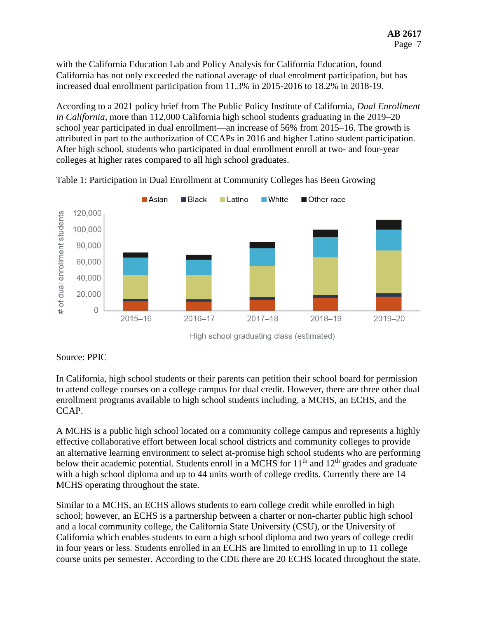with the California Education Lab and Policy Analysis for California Education, found California has not only exceeded the national average of dual enrolment participation, but has increased dual enrollment participation from 11.3% in 2015-2016 to 18.2% in 2018-19.

According to a 2021 policy brief from The Public Policy Institute of California, *Dual Enrollment in California*, more than 112,000 California high school students graduating in the 2019–20 school year participated in dual enrollment—an increase of 56% from 2015–16. The growth is attributed in part to the authorization of CCAPs in 2016 and higher Latino student participation. After high school, students who participated in dual enrollment enroll at two- and four-year colleges at higher rates compared to all high school graduates.



Table 1: Participation in Dual Enrollment at Community Colleges has Been Growing

High school graduating class (estimated)

# Source: PPIC

In California, high school students or their parents can petition their school board for permission to attend college courses on a college campus for dual credit. However, there are three other dual enrollment programs available to high school students including, a MCHS, an ECHS, and the CCAP.

A MCHS is a public high school located on a community college campus and represents a highly effective collaborative effort between local school districts and community colleges to provide an alternative learning environment to select at-promise high school students who are performing below their academic potential. Students enroll in a MCHS for 11<sup>th</sup> and 12<sup>th</sup> grades and graduate with a high school diploma and up to 44 units worth of college credits. Currently there are 14 MCHS operating throughout the state.

Similar to a MCHS, an ECHS allows students to earn college credit while enrolled in high school; however, an ECHS is a partnership between a charter or non-charter public high school and a local community college, the California State University (CSU), or the University of California which enables students to earn a high school diploma and two years of college credit in four years or less. Students enrolled in an ECHS are limited to enrolling in up to 11 college course units per semester. According to the CDE there are 20 ECHS located throughout the state.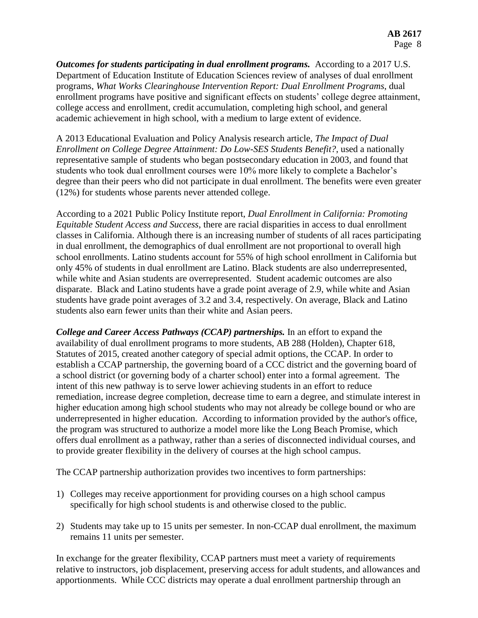*Outcomes for students participating in dual enrollment programs.* According to a 2017 U.S. Department of Education Institute of Education Sciences review of analyses of dual enrollment programs, *What Works Clearinghouse Intervention Report: Dual Enrollment Programs*, dual enrollment programs have positive and significant effects on students' college degree attainment, college access and enrollment, credit accumulation, completing high school, and general academic achievement in high school, with a medium to large extent of evidence.

A 2013 Educational Evaluation and Policy Analysis research article, *The Impact of Dual Enrollment on College Degree Attainment: Do Low-SES Students Benefit?*, used a nationally representative sample of students who began postsecondary education in 2003, and found that students who took dual enrollment courses were 10% more likely to complete a Bachelor's degree than their peers who did not participate in dual enrollment. The benefits were even greater (12%) for students whose parents never attended college.

According to a 2021 Public Policy Institute report, *Dual Enrollment in California: Promoting Equitable Student Access and Success*, there are racial disparities in access to dual enrollment classes in California. Although there is an increasing number of students of all races participating in dual enrollment, the demographics of dual enrollment are not proportional to overall high school enrollments. Latino students account for 55% of high school enrollment in California but only 45% of students in dual enrollment are Latino. Black students are also underrepresented, while white and Asian students are overrepresented. Student academic outcomes are also disparate. Black and Latino students have a grade point average of 2.9, while white and Asian students have grade point averages of 3.2 and 3.4, respectively. On average, Black and Latino students also earn fewer units than their white and Asian peers.

*College and Career Access Pathways (CCAP) partnerships.* In an effort to expand the availability of dual enrollment programs to more students, AB 288 (Holden), Chapter 618, Statutes of 2015, created another category of special admit options, the CCAP. In order to establish a CCAP partnership, the governing board of a CCC district and the governing board of a school district (or governing body of a charter school) enter into a formal agreement. The intent of this new pathway is to serve lower achieving students in an effort to reduce remediation, increase degree completion, decrease time to earn a degree, and stimulate interest in higher education among high school students who may not already be college bound or who are underrepresented in higher education. According to information provided by the author's office, the program was structured to authorize a model more like the Long Beach Promise, which offers dual enrollment as a pathway, rather than a series of disconnected individual courses, and to provide greater flexibility in the delivery of courses at the high school campus.

The CCAP partnership authorization provides two incentives to form partnerships:

- 1) Colleges may receive apportionment for providing courses on a high school campus specifically for high school students is and otherwise closed to the public.
- 2) Students may take up to 15 units per semester. In non-CCAP dual enrollment, the maximum remains 11 units per semester.

In exchange for the greater flexibility, CCAP partners must meet a variety of requirements relative to instructors, job displacement, preserving access for adult students, and allowances and apportionments. While CCC districts may operate a dual enrollment partnership through an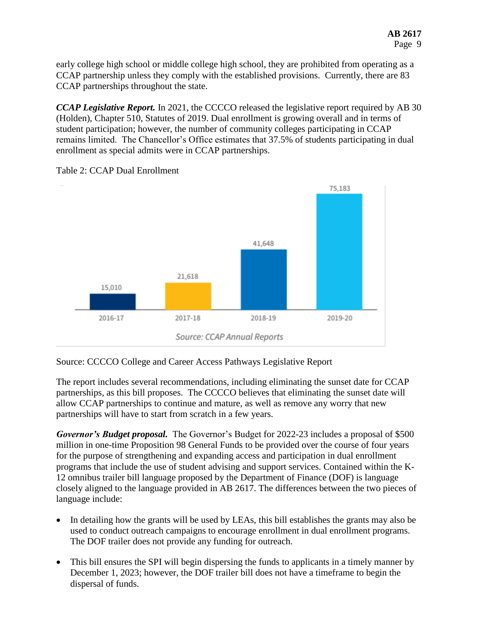early college high school or middle college high school, they are prohibited from operating as a CCAP partnership unless they comply with the established provisions. Currently, there are 83 CCAP partnerships throughout the state.

*CCAP Legislative Report.* In 2021, the CCCCO released the legislative report required by AB 30 (Holden), Chapter 510, Statutes of 2019. Dual enrollment is growing overall and in terms of student participation; however, the number of community colleges participating in CCAP remains limited. The Chancellor's Office estimates that 37.5% of students participating in dual enrollment as special admits were in CCAP partnerships.



Table 2: CCAP Dual Enrollment

Source: CCAP Annual Reports

Source: CCCCO College and Career Access Pathways Legislative Report

The report includes several recommendations, including eliminating the sunset date for CCAP partnerships, as this bill proposes. The CCCCO believes that eliminating the sunset date will allow CCAP partnerships to continue and mature, as well as remove any worry that new partnerships will have to start from scratch in a few years.

*Governor's Budget proposal.* The Governor's Budget for 2022-23 includes a proposal of \$500 million in one-time Proposition 98 General Funds to be provided over the course of four years for the purpose of strengthening and expanding access and participation in dual enrollment programs that include the use of student advising and support services. Contained within the K-12 omnibus trailer bill language proposed by the Department of Finance (DOF) is language closely aligned to the language provided in AB 2617. The differences between the two pieces of language include:

- In detailing how the grants will be used by LEAs, this bill establishes the grants may also be used to conduct outreach campaigns to encourage enrollment in dual enrollment programs. The DOF trailer does not provide any funding for outreach.
- This bill ensures the SPI will begin dispersing the funds to applicants in a timely manner by December 1, 2023; however, the DOF trailer bill does not have a timeframe to begin the dispersal of funds.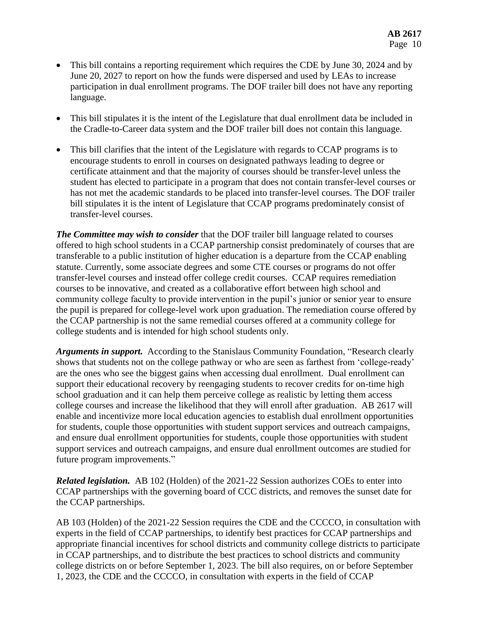- This bill contains a reporting requirement which requires the CDE by June 30, 2024 and by June 20, 2027 to report on how the funds were dispersed and used by LEAs to increase participation in dual enrollment programs. The DOF trailer bill does not have any reporting language.
- This bill stipulates it is the intent of the Legislature that dual enrollment data be included in the Cradle-to-Career data system and the DOF trailer bill does not contain this language.
- This bill clarifies that the intent of the Legislature with regards to CCAP programs is to encourage students to enroll in courses on designated pathways leading to degree or certificate attainment and that the majority of courses should be transfer-level unless the student has elected to participate in a program that does not contain transfer-level courses or has not met the academic standards to be placed into transfer-level courses. The DOF trailer bill stipulates it is the intent of Legislature that CCAP programs predominately consist of transfer-level courses.

*The Committee may wish to consider* that the DOF trailer bill language related to courses offered to high school students in a CCAP partnership consist predominately of courses that are transferable to a public institution of higher education is a departure from the CCAP enabling statute. Currently, some associate degrees and some CTE courses or programs do not offer transfer-level courses and instead offer college credit courses. CCAP requires remediation courses to be innovative, and created as a collaborative effort between high school and community college faculty to provide intervention in the pupil's junior or senior year to ensure the pupil is prepared for college-level work upon graduation. The remediation course offered by the CCAP partnership is not the same remedial courses offered at a community college for college students and is intended for high school students only.

*Arguments in support.* According to the Stanislaus Community Foundation, "Research clearly shows that students not on the college pathway or who are seen as farthest from 'college-ready' are the ones who see the biggest gains when accessing dual enrollment. Dual enrollment can support their educational recovery by reengaging students to recover credits for on-time high school graduation and it can help them perceive college as realistic by letting them access college courses and increase the likelihood that they will enroll after graduation. AB 2617 will enable and incentivize more local education agencies to establish dual enrollment opportunities for students, couple those opportunities with student support services and outreach campaigns, and ensure dual enrollment opportunities for students, couple those opportunities with student support services and outreach campaigns, and ensure dual enrollment outcomes are studied for future program improvements."

*Related legislation.* AB 102 (Holden) of the 2021-22 Session authorizes COEs to enter into CCAP partnerships with the governing board of CCC districts, and removes the sunset date for the CCAP partnerships.

AB 103 (Holden) of the 2021-22 Session requires the CDE and the CCCCO, in consultation with experts in the field of CCAP partnerships, to identify best practices for CCAP partnerships and appropriate financial incentives for school districts and community college districts to participate in CCAP partnerships, and to distribute the best practices to school districts and community college districts on or before September 1, 2023. The bill also requires, on or before September 1, 2023, the CDE and the CCCCO, in consultation with experts in the field of CCAP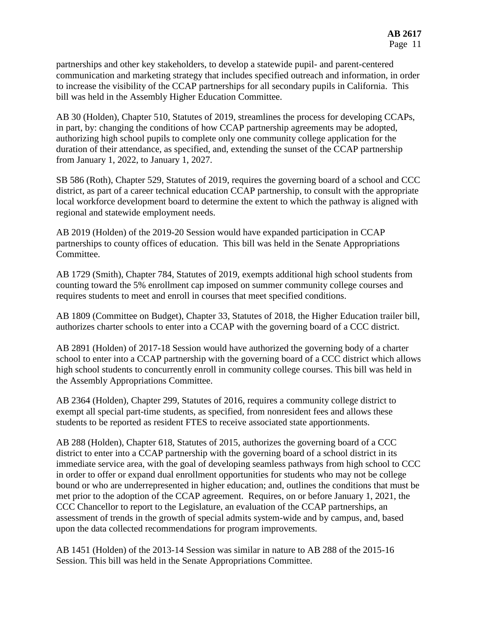partnerships and other key stakeholders, to develop a statewide pupil- and parent-centered communication and marketing strategy that includes specified outreach and information, in order to increase the visibility of the CCAP partnerships for all secondary pupils in California. This bill was held in the Assembly Higher Education Committee.

AB 30 (Holden), Chapter 510, Statutes of 2019, streamlines the process for developing CCAPs, in part, by: changing the conditions of how CCAP partnership agreements may be adopted, authorizing high school pupils to complete only one community college application for the duration of their attendance, as specified, and, extending the sunset of the CCAP partnership from January 1, 2022, to January 1, 2027.

SB 586 (Roth), Chapter 529, Statutes of 2019, requires the governing board of a school and CCC district, as part of a career technical education CCAP partnership, to consult with the appropriate local workforce development board to determine the extent to which the pathway is aligned with regional and statewide employment needs.

AB 2019 (Holden) of the 2019-20 Session would have expanded participation in CCAP partnerships to county offices of education. This bill was held in the Senate Appropriations Committee.

AB 1729 (Smith), Chapter 784, Statutes of 2019, exempts additional high school students from counting toward the 5% enrollment cap imposed on summer community college courses and requires students to meet and enroll in courses that meet specified conditions.

AB 1809 (Committee on Budget), Chapter 33, Statutes of 2018, the Higher Education trailer bill, authorizes charter schools to enter into a CCAP with the governing board of a CCC district.

AB 2891 (Holden) of 2017-18 Session would have authorized the governing body of a charter school to enter into a CCAP partnership with the governing board of a CCC district which allows high school students to concurrently enroll in community college courses. This bill was held in the Assembly Appropriations Committee.

AB 2364 (Holden), Chapter 299, Statutes of 2016, requires a community college district to exempt all special part-time students, as specified, from nonresident fees and allows these students to be reported as resident FTES to receive associated state apportionments.

AB 288 (Holden), Chapter 618, Statutes of 2015, authorizes the governing board of a CCC district to enter into a CCAP partnership with the governing board of a school district in its immediate service area, with the goal of developing seamless pathways from high school to CCC in order to offer or expand dual enrollment opportunities for students who may not be college bound or who are underrepresented in higher education; and, outlines the conditions that must be met prior to the adoption of the CCAP agreement. Requires, on or before January 1, 2021, the CCC Chancellor to report to the Legislature, an evaluation of the CCAP partnerships, an assessment of trends in the growth of special admits system-wide and by campus, and, based upon the data collected recommendations for program improvements.

AB 1451 (Holden) of the 2013-14 Session was similar in nature to AB 288 of the 2015-16 Session. This bill was held in the Senate Appropriations Committee.